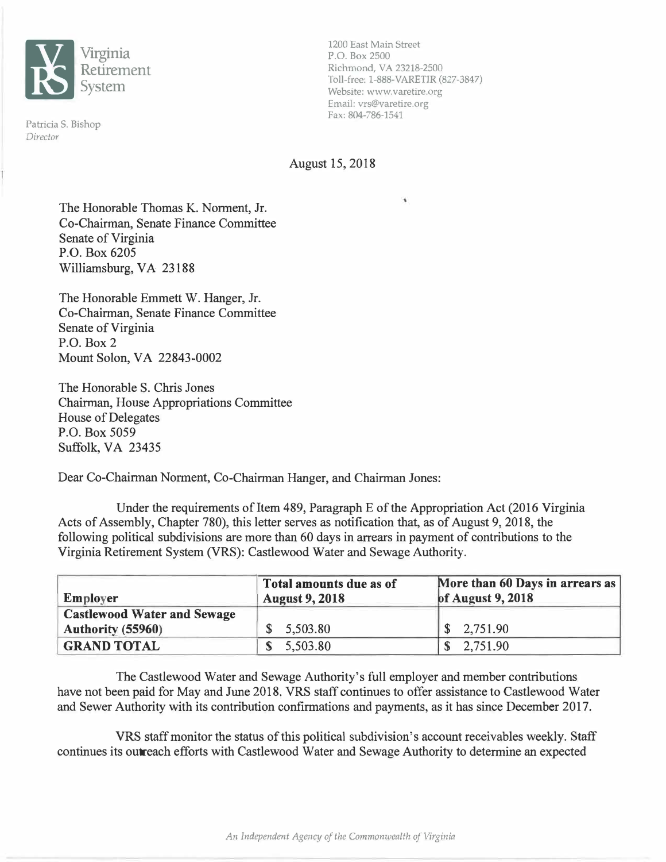

Patricia S. Bishop *Director* 

Richmond, VA 23218-2500 Toll-free: 1-888-VARETIR (827-3847) Website: www.varetire.org Email: vrs@varetire.org Fax: 804-786-1541

August 15, 2018

¥

The Honorable Thomas K. Norment, Jr. Co-Chairman, Senate Finance Committee Senate of Virginia P.O. Box 6205 Williamsburg, VA 23188

The Honorable Emmett W. Hanger, Jr. Co-Chairman, Senate Finance Committee Senate of Virginia P.O. Box2 Mount Solon, VA 22843-0002

The Honorable S. Chris Jones Chairman, House Appropriations Committee House of Delegates P.O. Box 5059 Suffolk, VA 23435

Dear Co-Chairman Norment, Co-Chairman Hanger, and Chairman Jones:

Under the requirements of Item 489, Paragraph E of the Appropriation Act (2016 Virginia Acts of Assembly, Chapter 780), this letter serves as notification that, as of August 9, 2018, the following political subdivisions are more than 60 days in arrears in payment of contributions to the Virginia Retirement System (YRS): Castlewood Water and Sewage Authority.

| <b>Employer</b>                    | Total amounts due as of<br><b>August 9, 2018</b> | More than 60 Days in arrears as<br>of August 9, 2018 |
|------------------------------------|--------------------------------------------------|------------------------------------------------------|
| <b>Castlewood Water and Sewage</b> |                                                  |                                                      |
| <b>Authority (55960)</b>           | 5,503.80                                         | $\frac{1}{2}$ , 2, 751.90                            |
| <b>GRAND TOTAL</b>                 | 5,503.80                                         | 2,751.90                                             |

The Castlewood Water and Sewage Authority's full employer and member contributions have not been paid for May and June 2018. YRS staff continues to offer assistance to Castlewood Water and Sewer Authority with its contribution confirmations and payments, as it has since December 2017.

YRS staff monitor the status of this political subdivision's account receivables weekly. Staff continues its outreach efforts with Castlewood Water and Sewage Authority to determine an expected